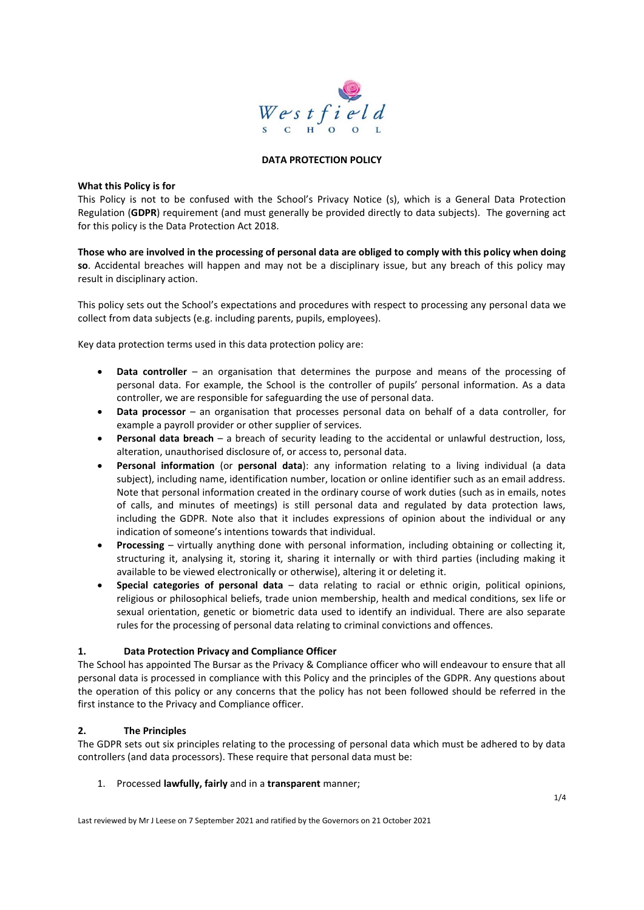

#### **DATA PROTECTION POLICY**

#### **What this Policy is for**

This Policy is not to be confused with the School's Privacy Notice (s), which is a General Data Protection Regulation (**GDPR**) requirement (and must generally be provided directly to data subjects). The governing act for this policy is the Data Protection Act 2018.

**Those who are involved in the processing of personal data are obliged to comply with this policy when doing so**. Accidental breaches will happen and may not be a disciplinary issue, but any breach of this policy may result in disciplinary action.

This policy sets out the School's expectations and procedures with respect to processing any personal data we collect from data subjects (e.g. including parents, pupils, employees).

Key data protection terms used in this data protection policy are:

- **Data controller** an organisation that determines the purpose and means of the processing of personal data. For example, the School is the controller of pupils' personal information. As a data controller, we are responsible for safeguarding the use of personal data.
- **Data processor** an organisation that processes personal data on behalf of a data controller, for example a payroll provider or other supplier of services.
- **Personal data breach** a breach of security leading to the accidental or unlawful destruction, loss, alteration, unauthorised disclosure of, or access to, personal data.
- **Personal information** (or **personal data**): any information relating to a living individual (a data subject), including name, identification number, location or online identifier such as an email address. Note that personal information created in the ordinary course of work duties (such as in emails, notes of calls, and minutes of meetings) is still personal data and regulated by data protection laws, including the GDPR. Note also that it includes expressions of opinion about the individual or any indication of someone's intentions towards that individual.
- **Processing** virtually anything done with personal information, including obtaining or collecting it, structuring it, analysing it, storing it, sharing it internally or with third parties (including making it available to be viewed electronically or otherwise), altering it or deleting it.
- **Special categories of personal data** data relating to racial or ethnic origin, political opinions, religious or philosophical beliefs, trade union membership, health and medical conditions, sex life or sexual orientation, genetic or biometric data used to identify an individual. There are also separate rules for the processing of personal data relating to criminal convictions and offences.

### **1. Data Protection Privacy and Compliance Officer**

The School has appointed The Bursar as the Privacy & Compliance officer who will endeavour to ensure that all personal data is processed in compliance with this Policy and the principles of the GDPR. Any questions about the operation of this policy or any concerns that the policy has not been followed should be referred in the first instance to the Privacy and Compliance officer.

### **2. The Principles**

The GDPR sets out six principles relating to the processing of personal data which must be adhered to by data controllers (and data processors). These require that personal data must be:

### 1. Processed **lawfully, fairly** and in a **transparent** manner;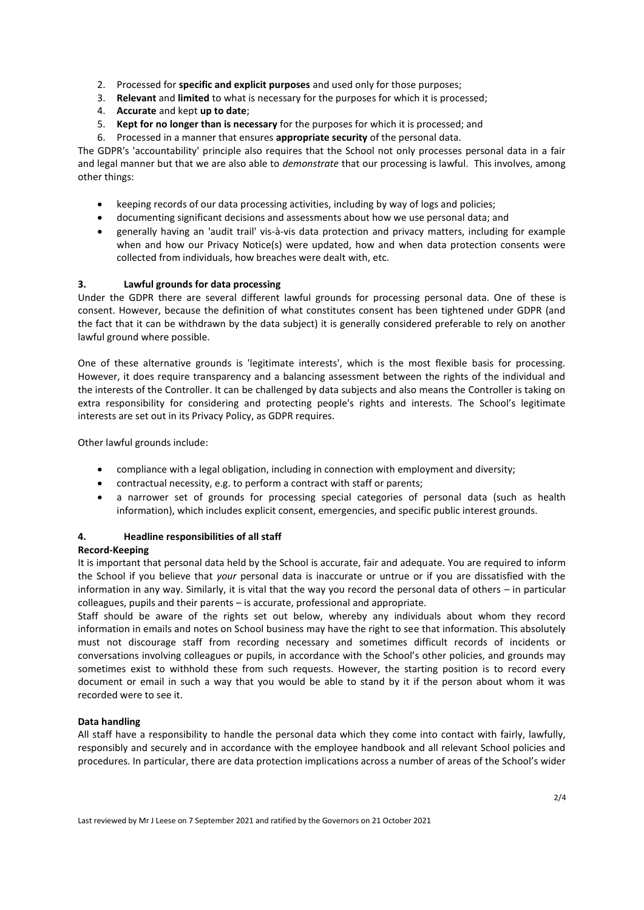- 2. Processed for **specific and explicit purposes** and used only for those purposes;
- 3. **Relevant** and **limited** to what is necessary for the purposes for which it is processed;
- 4. **Accurate** and kept **up to date**;
- 5. **Kept for no longer than is necessary** for the purposes for which it is processed; and
- 6. Processed in a manner that ensures **appropriate security** of the personal data.

The GDPR's 'accountability' principle also requires that the School not only processes personal data in a fair and legal manner but that we are also able to *demonstrate* that our processing is lawful. This involves, among other things:

- keeping records of our data processing activities, including by way of logs and policies;
- documenting significant decisions and assessments about how we use personal data; and
- generally having an 'audit trail' vis-à-vis data protection and privacy matters, including for example when and how our Privacy Notice(s) were updated, how and when data protection consents were collected from individuals, how breaches were dealt with, etc.

### **3. Lawful grounds for data processing**

Under the GDPR there are several different lawful grounds for processing personal data. One of these is consent. However, because the definition of what constitutes consent has been tightened under GDPR (and the fact that it can be withdrawn by the data subject) it is generally considered preferable to rely on another lawful ground where possible.

One of these alternative grounds is 'legitimate interests', which is the most flexible basis for processing. However, it does require transparency and a balancing assessment between the rights of the individual and the interests of the Controller. It can be challenged by data subjects and also means the Controller is taking on extra responsibility for considering and protecting people's rights and interests. The School's legitimate interests are set out in its Privacy Policy, as GDPR requires.

Other lawful grounds include:

- compliance with a legal obligation, including in connection with employment and diversity;
- contractual necessity, e.g. to perform a contract with staff or parents;
- a narrower set of grounds for processing special categories of personal data (such as health information), which includes explicit consent, emergencies, and specific public interest grounds.

# **4. Headline responsibilities of all staff**

### **Record-Keeping**

It is important that personal data held by the School is accurate, fair and adequate. You are required to inform the School if you believe that *your* personal data is inaccurate or untrue or if you are dissatisfied with the information in any way. Similarly, it is vital that the way you record the personal data of others – in particular colleagues, pupils and their parents – is accurate, professional and appropriate.

Staff should be aware of the rights set out below, whereby any individuals about whom they record information in emails and notes on School business may have the right to see that information. This absolutely must not discourage staff from recording necessary and sometimes difficult records of incidents or conversations involving colleagues or pupils, in accordance with the School's other policies, and grounds may sometimes exist to withhold these from such requests. However, the starting position is to record every document or email in such a way that you would be able to stand by it if the person about whom it was recorded were to see it.

### **Data handling**

All staff have a responsibility to handle the personal data which they come into contact with fairly, lawfully, responsibly and securely and in accordance with the employee handbook and all relevant School policies and procedures. In particular, there are data protection implications across a number of areas of the School's wider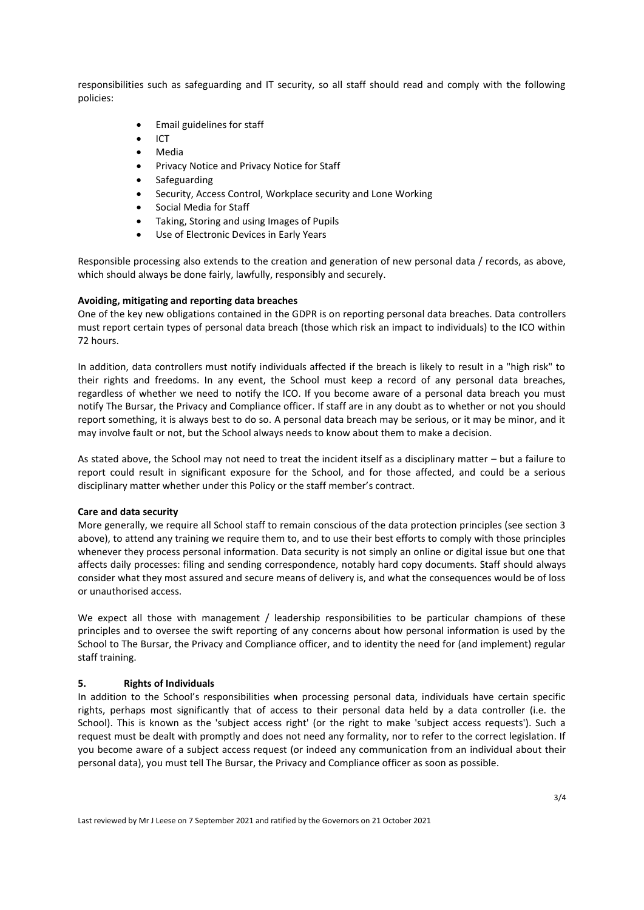responsibilities such as safeguarding and IT security, so all staff should read and comply with the following policies:

- Email guidelines for staff
- ICT
- Media
- Privacy Notice and Privacy Notice for Staff
- **Safeguarding**
- Security, Access Control, Workplace security and Lone Working
- Social Media for Staff
- Taking, Storing and using Images of Pupils
- Use of Electronic Devices in Early Years

Responsible processing also extends to the creation and generation of new personal data / records, as above, which should always be done fairly, lawfully, responsibly and securely.

#### **Avoiding, mitigating and reporting data breaches**

One of the key new obligations contained in the GDPR is on reporting personal data breaches. Data controllers must report certain types of personal data breach (those which risk an impact to individuals) to the ICO within 72 hours.

In addition, data controllers must notify individuals affected if the breach is likely to result in a "high risk" to their rights and freedoms. In any event, the School must keep a record of any personal data breaches, regardless of whether we need to notify the ICO. If you become aware of a personal data breach you must notify The Bursar, the Privacy and Compliance officer. If staff are in any doubt as to whether or not you should report something, it is always best to do so. A personal data breach may be serious, or it may be minor, and it may involve fault or not, but the School always needs to know about them to make a decision.

As stated above, the School may not need to treat the incident itself as a disciplinary matter – but a failure to report could result in significant exposure for the School, and for those affected, and could be a serious disciplinary matter whether under this Policy or the staff member's contract.

#### **Care and data security**

More generally, we require all School staff to remain conscious of the data protection principles (see section 3 above), to attend any training we require them to, and to use their best efforts to comply with those principles whenever they process personal information. Data security is not simply an online or digital issue but one that affects daily processes: filing and sending correspondence, notably hard copy documents. Staff should always consider what they most assured and secure means of delivery is, and what the consequences would be of loss or unauthorised access.

We expect all those with management / leadership responsibilities to be particular champions of these principles and to oversee the swift reporting of any concerns about how personal information is used by the School to The Bursar, the Privacy and Compliance officer, and to identity the need for (and implement) regular staff training.

#### **5. Rights of Individuals**

In addition to the School's responsibilities when processing personal data, individuals have certain specific rights, perhaps most significantly that of access to their personal data held by a data controller (i.e. the School). This is known as the 'subject access right' (or the right to make 'subject access requests'). Such a request must be dealt with promptly and does not need any formality, nor to refer to the correct legislation. If you become aware of a subject access request (or indeed any communication from an individual about their personal data), you must tell The Bursar, the Privacy and Compliance officer as soon as possible.